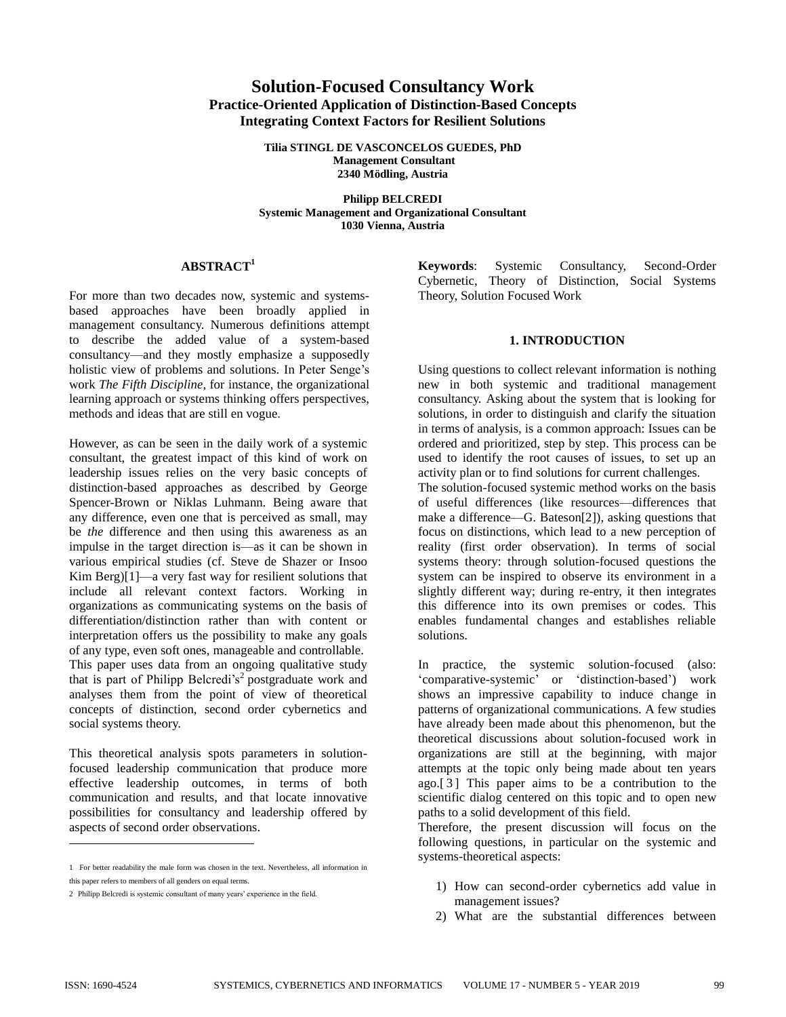# **Solution-Focused Consultancy Work Practice-Oriented Application of Distinction-Based Concepts Integrating Context Factors for Resilient Solutions**

**Tilia STINGL DE VASCONCELOS GUEDES, PhD Management Consultant 2340 Mödling, Austria**

**Philipp BELCREDI Systemic Management and Organizational Consultant 1030 Vienna, Austria**

# **ABSTRACT 1**

For more than two decades now, systemic and systemsbased approaches have been broadly applied in management consultancy. Numerous definitions attempt to describe the added value of a system-based consultancy—and they mostly emphasize a supposedly holistic view of problems and solutions. In Peter Senge's work *The Fifth Discipline*, for instance, the organizational learning approach or systems thinking offers perspectives, methods and ideas that are still en vogue.

However, as can be seen in the daily work of a systemic consultant, the greatest impact of this kind of work on leadership issues relies on the very basic concepts of distinction-based approaches as described by George Spencer-Brown or Niklas Luhmann. Being aware that any difference, even one that is perceived as small, may be *the* difference and then using this awareness as an impulse in the target direction is—as it can be shown in various empirical studies (cf. Steve de Shazer or Insoo Kim Berg)[1]—a very fast way for resilient solutions that include all relevant context factors. Working in organizations as communicating systems on the basis of differentiation/distinction rather than with content or interpretation offers us the possibility to make any goals of any type, even soft ones, manageable and controllable. This paper uses data from an ongoing qualitative study that is part of Philipp Belcredi's 2 postgraduate work and analyses them from the point of view of theoretical concepts of distinction, second order cybernetics and social systems theory.

This theoretical analysis spots parameters in solutionfocused leadership communication that produce more effective leadership outcomes, in terms of both communication and results, and that locate innovative possibilities for consultancy and leadership offered by aspects of second order observations.

**Keywords**: Systemic Consultancy, Second-Order Cybernetic, Theory of Distinction, Social Systems Theory, Solution Focused Work

#### **1. INTRODUCTION**

Using questions to collect relevant information is nothing new in both systemic and traditional management consultancy. Asking about the system that is looking for solutions, in order to distinguish and clarify the situation in terms of analysis, is a common approach: Issues can be ordered and prioritized, step by step. This process can be used to identify the root causes of issues, to set up an activity plan or to find solutions for current challenges.

The solution-focused systemic method works on the basis of useful differences (like resources—differences that make a difference—G. Bateson[2]), asking questions that focus on distinctions, which lead to a new perception of reality (first order observation). In terms of social systems theory: through solution-focused questions the system can be inspired to observe its environment in a slightly different way; during re-entry, it then integrates this difference into its own premises or codes. This enables fundamental changes and establishes reliable solutions.

In practice, the systemic solution-focused (also: 'comparative-systemic' or 'distinction-based') work shows an impressive capability to induce change in patterns of organizational communications. A few studies have already been made about this phenomenon, but the theoretical discussions about solution-focused work in organizations are still at the beginning, with major attempts at the topic only being made about ten years ago.[ 3 ] This paper aims to be a contribution to the scientific dialog centered on this topic and to open new paths to a solid development of this field.

Therefore, the present discussion will focus on the following questions, in particular on the systemic and systems-theoretical aspects:

- 1) How can second-order cybernetics add value in management issues?
- 2) What are the substantial differences between

l

<sup>1</sup> For better readability the male form was chosen in the text. Nevertheless, all information in this paper refers to members of all genders on equal terms.

<sup>2</sup> Philipp Belcredi is systemic consultant of many years' experience in the field.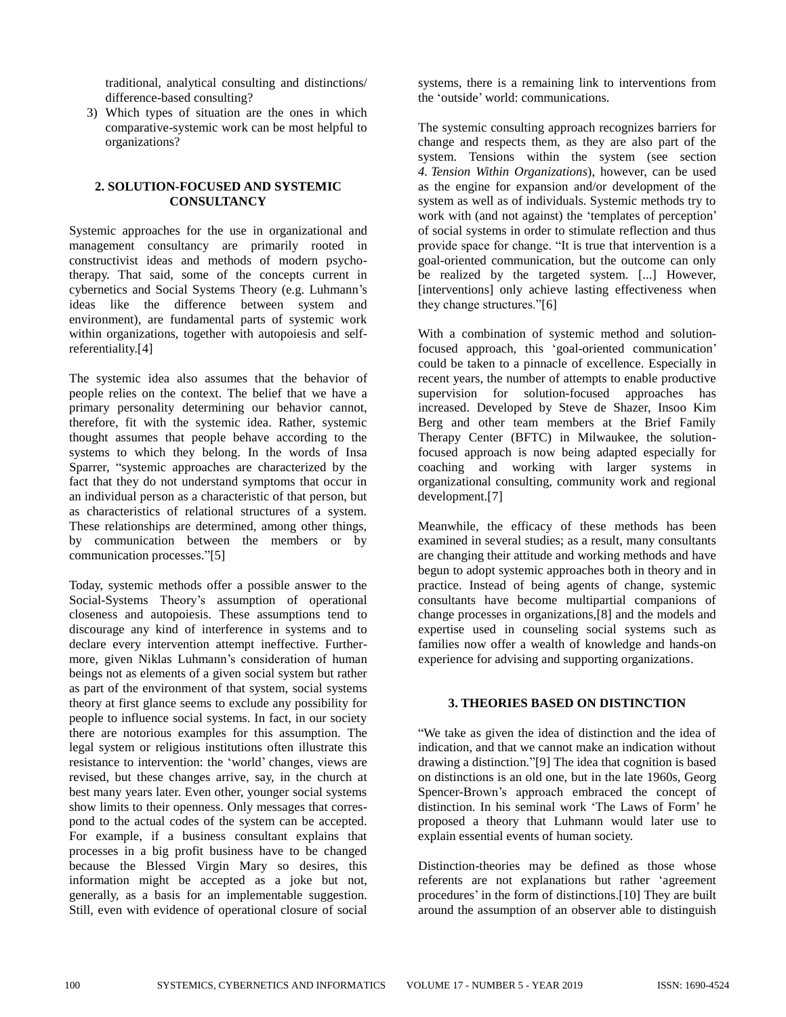traditional, analytical consulting and distinctions/ difference-based consulting?

3) Which types of situation are the ones in which comparative-systemic work can be most helpful to organizations?

## **2. SOLUTION-FOCUSED AND SYSTEMIC CONSULTANCY**

Systemic approaches for the use in organizational and management consultancy are primarily rooted in constructivist ideas and methods of modern psychotherapy. That said, some of the concepts current in cybernetics and Social Systems Theory (e.g. Luhmann's ideas like the difference between system and environment), are fundamental parts of systemic work within organizations, together with autopoiesis and selfreferentiality.[4]

The systemic idea also assumes that the behavior of people relies on the context. The belief that we have a primary personality determining our behavior cannot, therefore, fit with the systemic idea. Rather, systemic thought assumes that people behave according to the systems to which they belong. In the words of Insa Sparrer, "systemic approaches are characterized by the fact that they do not understand symptoms that occur in an individual person as a characteristic of that person, but as characteristics of relational structures of a system. These relationships are determined, among other things, by communication between the members or by communication processes."[5]

Today, systemic methods offer a possible answer to the Social-Systems Theory's assumption of operational closeness and autopoiesis. These assumptions tend to discourage any kind of interference in systems and to declare every intervention attempt ineffective. Furthermore, given Niklas Luhmann's consideration of human beings not as elements of a given social system but rather as part of the environment of that system, social systems theory at first glance seems to exclude any possibility for people to influence social systems. In fact, in our society there are notorious examples for this assumption. The legal system or religious institutions often illustrate this resistance to intervention: the 'world' changes, views are revised, but these changes arrive, say, in the church at best many years later. Even other, younger social systems show limits to their openness. Only messages that correspond to the actual codes of the system can be accepted. For example, if a business consultant explains that processes in a big profit business have to be changed because the Blessed Virgin Mary so desires, this information might be accepted as a joke but not, generally, as a basis for an implementable suggestion. Still, even with evidence of operational closure of social

systems, there is a remaining link to interventions from the 'outside' world: communications.

The systemic consulting approach recognizes barriers for change and respects them, as they are also part of the system. Tensions within the system (see section *4. Tension Within Organizations*), however, can be used as the engine for expansion and/or development of the system as well as of individuals. Systemic methods try to work with (and not against) the 'templates of perception' of social systems in order to stimulate reflection and thus provide space for change. "It is true that intervention is a goal-oriented communication, but the outcome can only be realized by the targeted system. [...] However, [interventions] only achieve lasting effectiveness when they change structures."[6]

With a combination of systemic method and solutionfocused approach, this 'goal-oriented communication' could be taken to a pinnacle of excellence. Especially in recent years, the number of attempts to enable productive supervision for solution-focused approaches has increased. Developed by Steve de Shazer, Insoo Kim Berg and other team members at the Brief Family Therapy Center (BFTC) in Milwaukee, the solutionfocused approach is now being adapted especially for coaching and working with larger systems in organizational consulting, community work and regional development.[7]

Meanwhile, the efficacy of these methods has been examined in several studies; as a result, many consultants are changing their attitude and working methods and have begun to adopt systemic approaches both in theory and in practice. Instead of being agents of change, systemic consultants have become multipartial companions of change processes in organizations,[8] and the models and expertise used in counseling social systems such as families now offer a wealth of knowledge and hands-on experience for advising and supporting organizations.

## **3. THEORIES BASED ON DISTINCTION**

"We take as given the idea of distinction and the idea of indication, and that we cannot make an indication without drawing a distinction."[9] The idea that cognition is based on distinctions is an old one, but in the late 1960s, Georg Spencer-Brown's approach embraced the concept of distinction. In his seminal work 'The Laws of Form' he proposed a theory that Luhmann would later use to explain essential events of human society.

Distinction-theories may be defined as those whose referents are not explanations but rather 'agreement procedures' in the form of distinctions.[10] They are built around the assumption of an observer able to distinguish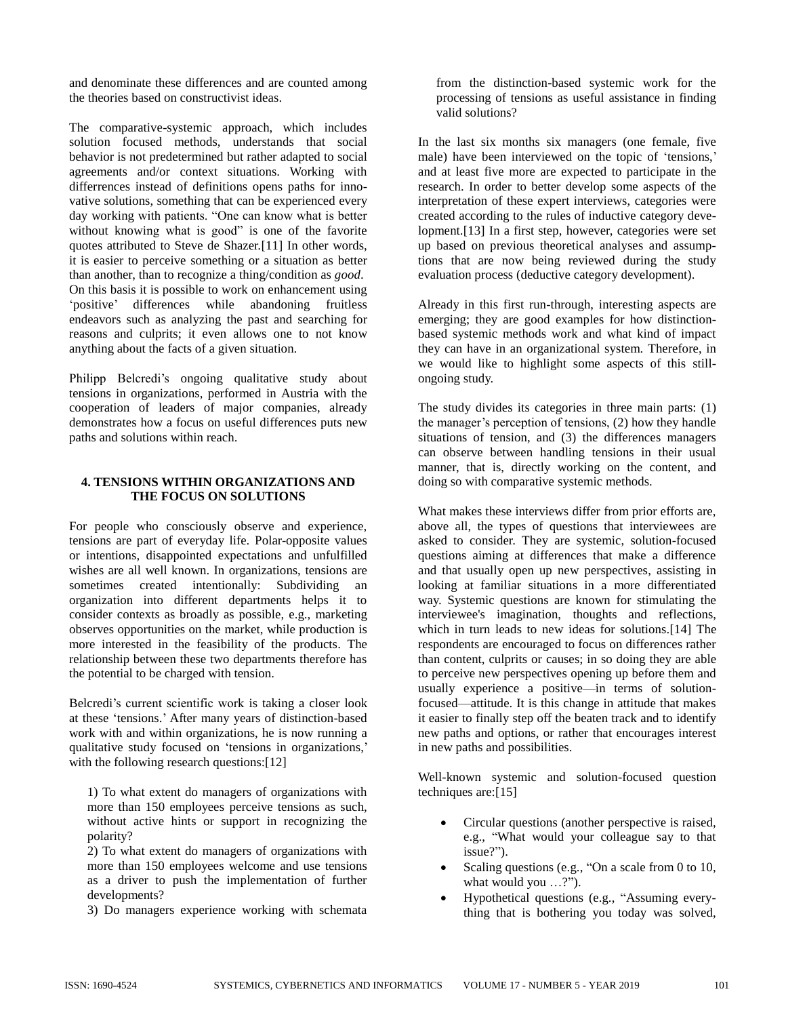and denominate these differences and are counted among the theories based on constructivist ideas.

The comparative-systemic approach, which includes solution focused methods, understands that social behavior is not predetermined but rather adapted to social agreements and/or context situations. Working with differrences instead of definitions opens paths for innovative solutions, something that can be experienced every day working with patients. "One can know what is better without knowing what is good" is one of the favorite quotes attributed to Steve de Shazer.[11] In other words, it is easier to perceive something or a situation as better than another, than to recognize a thing/condition as *good*. On this basis it is possible to work on enhancement using 'positive' differences while abandoning fruitless endeavors such as analyzing the past and searching for reasons and culprits; it even allows one to not know anything about the facts of a given situation.

Philipp Belcredi's ongoing qualitative study about tensions in organizations, performed in Austria with the cooperation of leaders of major companies, already demonstrates how a focus on useful differences puts new paths and solutions within reach.

## **4. TENSIONS WITHIN ORGANIZATIONS AND THE FOCUS ON SOLUTIONS**

For people who consciously observe and experience, tensions are part of everyday life. Polar-opposite values or intentions, disappointed expectations and unfulfilled wishes are all well known. In organizations, tensions are sometimes created intentionally: Subdividing an organization into different departments helps it to consider contexts as broadly as possible, e.g., marketing observes opportunities on the market, while production is more interested in the feasibility of the products. The relationship between these two departments therefore has the potential to be charged with tension.

Belcredi's current scientific work is taking a closer look at these 'tensions.' After many years of distinction-based work with and within organizations, he is now running a qualitative study focused on 'tensions in organizations,' with the following research questions:[12]

1) To what extent do managers of organizations with more than 150 employees perceive tensions as such, without active hints or support in recognizing the polarity?

2) To what extent do managers of organizations with more than 150 employees welcome and use tensions as a driver to push the implementation of further developments?

3) Do managers experience working with schemata

from the distinction-based systemic work for the processing of tensions as useful assistance in finding valid solutions?

In the last six months six managers (one female, five male) have been interviewed on the topic of 'tensions,' and at least five more are expected to participate in the research. In order to better develop some aspects of the interpretation of these expert interviews, categories were created according to the rules of inductive category development.[13] In a first step, however, categories were set up based on previous theoretical analyses and assumptions that are now being reviewed during the study evaluation process (deductive category development).

Already in this first run-through, interesting aspects are emerging; they are good examples for how distinctionbased systemic methods work and what kind of impact they can have in an organizational system. Therefore, in we would like to highlight some aspects of this stillongoing study.

The study divides its categories in three main parts: (1) the manager's perception of tensions, (2) how they handle situations of tension, and (3) the differences managers can observe between handling tensions in their usual manner, that is, directly working on the content, and doing so with comparative systemic methods.

What makes these interviews differ from prior efforts are, above all, the types of questions that interviewees are asked to consider. They are systemic, solution-focused questions aiming at differences that make a difference and that usually open up new perspectives, assisting in looking at familiar situations in a more differentiated way. Systemic questions are known for stimulating the interviewee's imagination, thoughts and reflections, which in turn leads to new ideas for solutions.[14] The respondents are encouraged to focus on differences rather than content, culprits or causes; in so doing they are able to perceive new perspectives opening up before them and usually experience a positive—in terms of solutionfocused—attitude. It is this change in attitude that makes it easier to finally step off the beaten track and to identify new paths and options, or rather that encourages interest in new paths and possibilities.

Well-known systemic and solution-focused question techniques are:[15]

- Circular questions (another perspective is raised, e.g., "What would your colleague say to that issue?").
- Scaling questions (e.g., "On a scale from 0 to 10, what would you …?").
- Hypothetical questions (e.g., "Assuming everything that is bothering you today was solved,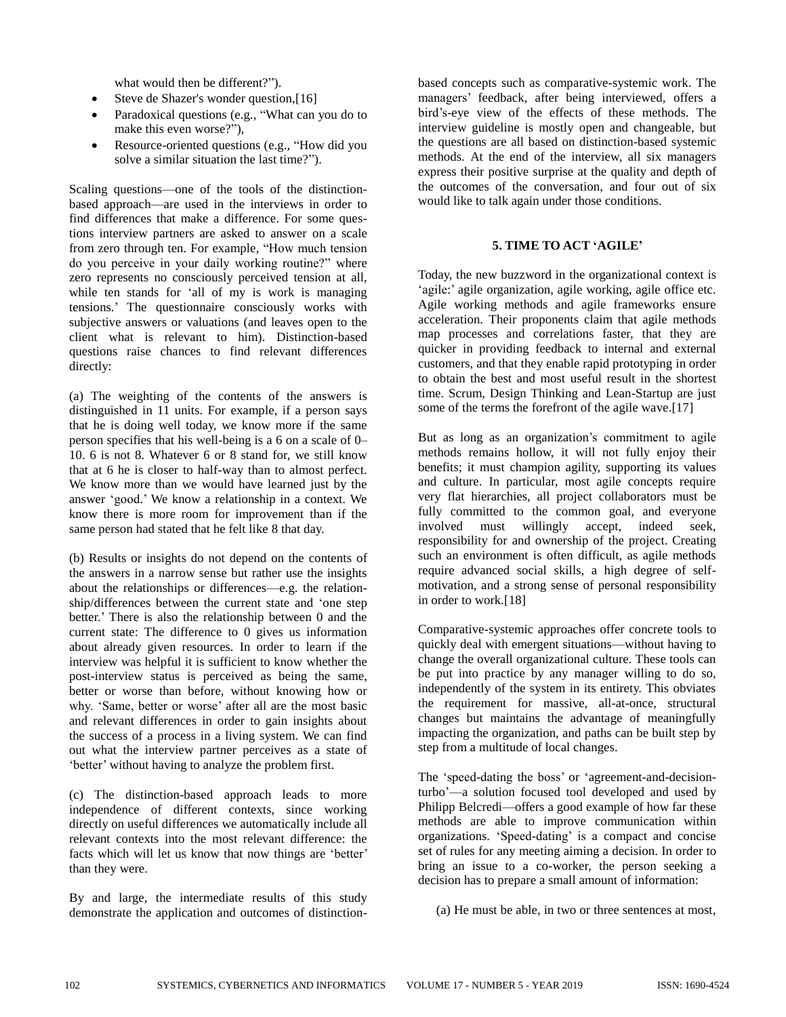what would then be different?").

- Steve de Shazer's wonder question,[16]
- Paradoxical questions (e.g., "What can you do to make this even worse?"),
- Resource-oriented questions (e.g., "How did you solve a similar situation the last time?").

Scaling questions—one of the tools of the distinctionbased approach—are used in the interviews in order to find differences that make a difference. For some questions interview partners are asked to answer on a scale from zero through ten. For example, "How much tension do you perceive in your daily working routine?" where zero represents no consciously perceived tension at all, while ten stands for 'all of my is work is managing tensions.' The questionnaire consciously works with subjective answers or valuations (and leaves open to the client what is relevant to him). Distinction-based questions raise chances to find relevant differences directly:

(a) The weighting of the contents of the answers is distinguished in 11 units. For example, if a person says that he is doing well today, we know more if the same person specifies that his well-being is a 6 on a scale of 0– 10. 6 is not 8. Whatever 6 or 8 stand for, we still know that at 6 he is closer to half-way than to almost perfect. We know more than we would have learned just by the answer 'good.' We know a relationship in a context. We know there is more room for improvement than if the same person had stated that he felt like 8 that day.

(b) Results or insights do not depend on the contents of the answers in a narrow sense but rather use the insights about the relationships or differences—e.g. the relationship/differences between the current state and 'one step better.' There is also the relationship between 0 and the current state: The difference to 0 gives us information about already given resources. In order to learn if the interview was helpful it is sufficient to know whether the post-interview status is perceived as being the same, better or worse than before, without knowing how or why. 'Same, better or worse' after all are the most basic and relevant differences in order to gain insights about the success of a process in a living system. We can find out what the interview partner perceives as a state of 'better' without having to analyze the problem first.

(c) The distinction-based approach leads to more independence of different contexts, since working directly on useful differences we automatically include all relevant contexts into the most relevant difference: the facts which will let us know that now things are 'better' than they were.

By and large, the intermediate results of this study demonstrate the application and outcomes of distinctionbased concepts such as comparative-systemic work. The managers' feedback, after being interviewed, offers a bird's-eye view of the effects of these methods. The interview guideline is mostly open and changeable, but the questions are all based on distinction-based systemic methods. At the end of the interview, all six managers express their positive surprise at the quality and depth of the outcomes of the conversation, and four out of six would like to talk again under those conditions.

## **5. TIME TO ACT 'AGILE'**

Today, the new buzzword in the organizational context is 'agile:' agile organization, agile working, agile office etc. Agile working methods and agile frameworks ensure acceleration. Their proponents claim that agile methods map processes and correlations faster, that they are quicker in providing feedback to internal and external customers, and that they enable rapid prototyping in order to obtain the best and most useful result in the shortest time. Scrum, Design Thinking and Lean-Startup are just some of the terms the forefront of the agile wave.[17]

But as long as an organization's commitment to agile methods remains hollow, it will not fully enjoy their benefits; it must champion agility, supporting its values and culture. In particular, most agile concepts require very flat hierarchies, all project collaborators must be fully committed to the common goal, and everyone involved must willingly accept, indeed seek, responsibility for and ownership of the project. Creating such an environment is often difficult, as agile methods require advanced social skills, a high degree of selfmotivation, and a strong sense of personal responsibility in order to work.[18]

Comparative-systemic approaches offer concrete tools to quickly deal with emergent situations—without having to change the overall organizational culture. These tools can be put into practice by any manager willing to do so, independently of the system in its entirety. This obviates the requirement for massive, all-at-once, structural changes but maintains the advantage of meaningfully impacting the organization, and paths can be built step by step from a multitude of local changes.

The 'speed-dating the boss' or 'agreement-and-decisionturbo'—a solution focused tool developed and used by Philipp Belcredi—offers a good example of how far these methods are able to improve communication within organizations. 'Speed-dating' is a compact and concise set of rules for any meeting aiming a decision. In order to bring an issue to a co-worker, the person seeking a decision has to prepare a small amount of information:

(a) He must be able, in two or three sentences at most,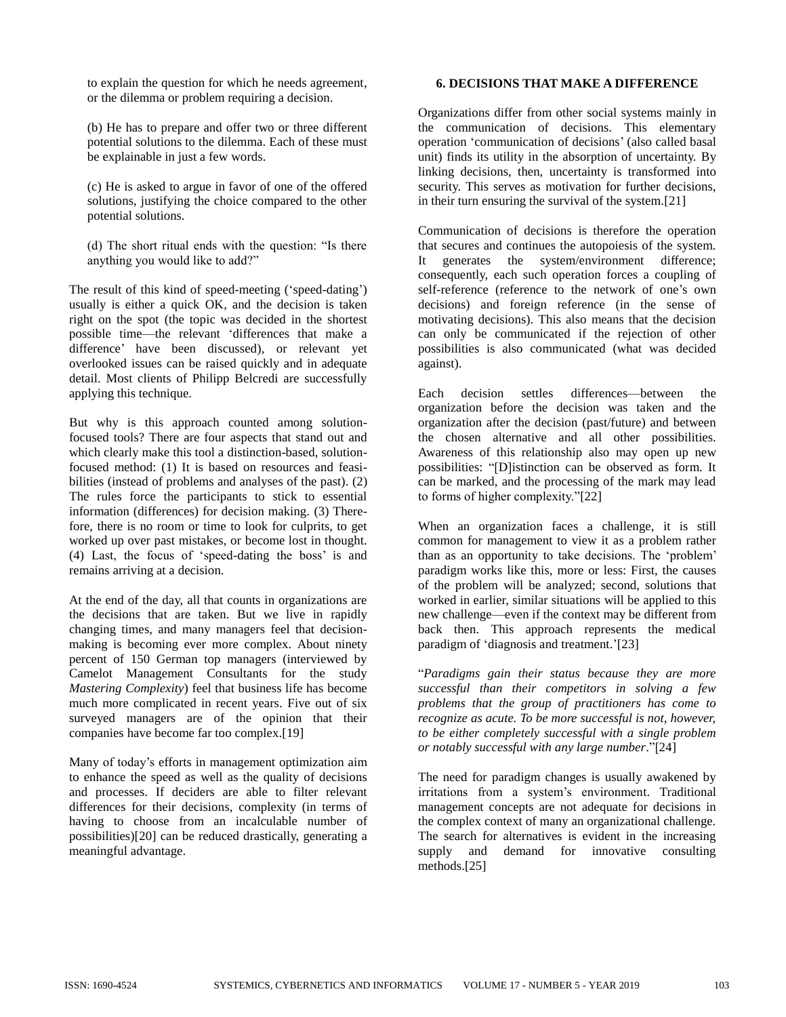to explain the question for which he needs agreement, or the dilemma or problem requiring a decision.

(b) He has to prepare and offer two or three different potential solutions to the dilemma. Each of these must be explainable in just a few words.

(c) He is asked to argue in favor of one of the offered solutions, justifying the choice compared to the other potential solutions.

(d) The short ritual ends with the question: "Is there anything you would like to add?"

The result of this kind of speed-meeting ('speed-dating') usually is either a quick OK, and the decision is taken right on the spot (the topic was decided in the shortest possible time—the relevant 'differences that make a difference' have been discussed), or relevant yet overlooked issues can be raised quickly and in adequate detail. Most clients of Philipp Belcredi are successfully applying this technique.

But why is this approach counted among solutionfocused tools? There are four aspects that stand out and which clearly make this tool a distinction-based, solutionfocused method: (1) It is based on resources and feasibilities (instead of problems and analyses of the past). (2) The rules force the participants to stick to essential information (differences) for decision making. (3) Therefore, there is no room or time to look for culprits, to get worked up over past mistakes, or become lost in thought. (4) Last, the focus of 'speed-dating the boss' is and remains arriving at a decision.

At the end of the day, all that counts in organizations are the decisions that are taken. But we live in rapidly changing times, and many managers feel that decisionmaking is becoming ever more complex. About ninety percent of 150 German top managers (interviewed by Camelot Management Consultants for the study *Mastering Complexity*) feel that business life has become much more complicated in recent years. Five out of six surveyed managers are of the opinion that their companies have become far too complex.[19]

Many of today's efforts in management optimization aim to enhance the speed as well as the quality of decisions and processes. If deciders are able to filter relevant differences for their decisions, complexity (in terms of having to choose from an incalculable number of possibilities)[20] can be reduced drastically, generating a meaningful advantage.

## **6. DECISIONS THAT MAKE A DIFFERENCE**

Organizations differ from other social systems mainly in the communication of decisions. This elementary operation 'communication of decisions' (also called basal unit) finds its utility in the absorption of uncertainty. By linking decisions, then, uncertainty is transformed into security. This serves as motivation for further decisions, in their turn ensuring the survival of the system.[21]

Communication of decisions is therefore the operation that secures and continues the autopoiesis of the system. It generates the system/environment difference; consequently, each such operation forces a coupling of self-reference (reference to the network of one's own decisions) and foreign reference (in the sense of motivating decisions). This also means that the decision can only be communicated if the rejection of other possibilities is also communicated (what was decided against).

Each decision settles differences—between the organization before the decision was taken and the organization after the decision (past/future) and between the chosen alternative and all other possibilities. Awareness of this relationship also may open up new possibilities: "[D]istinction can be observed as form. It can be marked, and the processing of the mark may lead to forms of higher complexity."[22]

When an organization faces a challenge, it is still common for management to view it as a problem rather than as an opportunity to take decisions. The 'problem' paradigm works like this, more or less: First, the causes of the problem will be analyzed; second, solutions that worked in earlier, similar situations will be applied to this new challenge—even if the context may be different from back then. This approach represents the medical paradigm of 'diagnosis and treatment.'[23]

"*Paradigms gain their status because they are more successful than their competitors in solving a few problems that the group of practitioners has come to recognize as acute. To be more successful is not, however, to be either completely successful with a single problem or notably successful with any large number*."[24]

The need for paradigm changes is usually awakened by irritations from a system's environment. Traditional management concepts are not adequate for decisions in the complex context of many an organizational challenge. The search for alternatives is evident in the increasing supply and demand for innovative consulting methods.[25]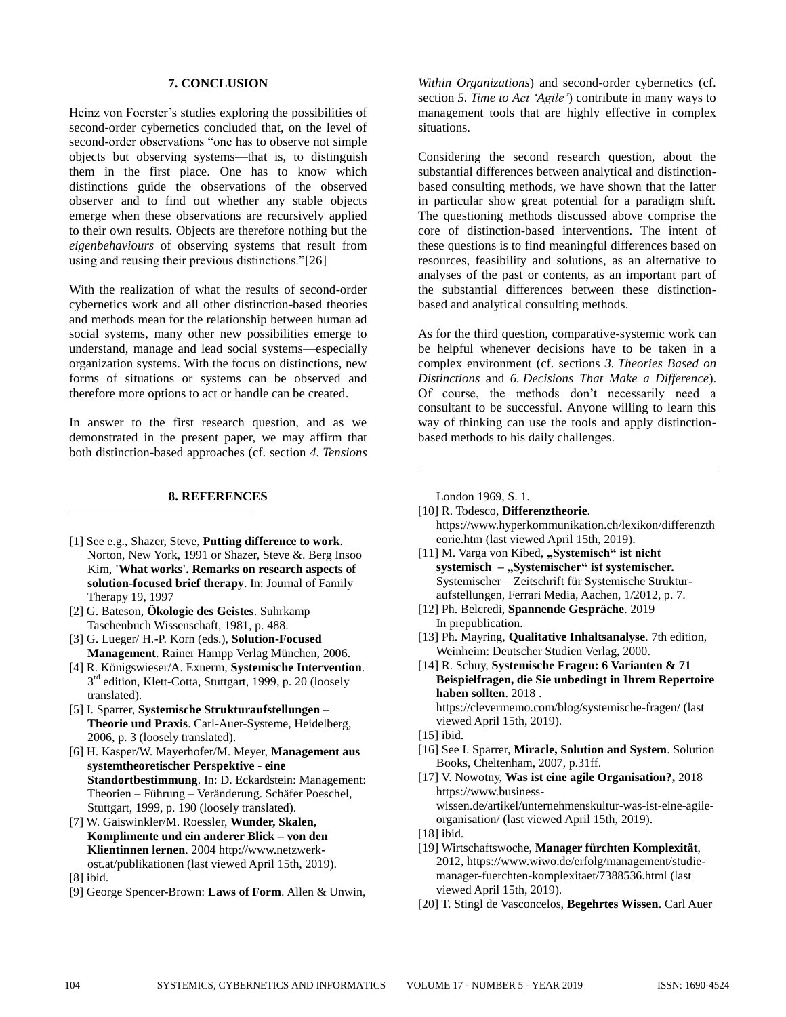## **7. CONCLUSION**

Heinz von Foerster's studies exploring the possibilities of second-order cybernetics concluded that, on the level of second-order observations "one has to observe not simple objects but observing systems—that is, to distinguish them in the first place. One has to know which distinctions guide the observations of the observed observer and to find out whether any stable objects emerge when these observations are recursively applied to their own results. Objects are therefore nothing but the *eigenbehaviours* of observing systems that result from using and reusing their previous distinctions."[26]

With the realization of what the results of second-order cybernetics work and all other distinction-based theories and methods mean for the relationship between human ad social systems, many other new possibilities emerge to understand, manage and lead social systems—especially organization systems. With the focus on distinctions, new forms of situations or systems can be observed and therefore more options to act or handle can be created.

In answer to the first research question, and as we demonstrated in the present paper, we may affirm that both distinction-based approaches (cf. section *4. Tensions*

#### **8. REFERENCES**

- [1] See e.g., Shazer, Steve, **Putting difference to work**. Norton, New York, 1991 or Shazer, Steve &. Berg Insoo Kim, **'What works'. Remarks on research aspects of solution-focused brief therapy**. In: Journal of Family Therapy 19, 1997
- [2] G. Bateson, **Ökologie des Geistes**. Suhrkamp Taschenbuch Wissenschaft, 1981, p. 488.
- [3] G. Lueger/ H.-P. Korn (eds.), **Solution-Focused Management**. Rainer Hampp Verlag München, 2006.
- [4] R. Königswieser/A. Exnerm, **Systemische Intervention**. 3<sup>rd</sup> edition, Klett-Cotta, Stuttgart, 1999, p. 20 (loosely translated).
- [5] I. Sparrer, **Systemische Strukturaufstellungen – Theorie und Praxis**. Carl-Auer-Systeme, Heidelberg, 2006, p. 3 (loosely translated).
- [6] H. Kasper/W. Mayerhofer/M. Meyer, **Management aus systemtheoretischer Perspektive - eine Standortbestimmung**. In: D. Eckardstein: Management: Theorien – Führung – Veränderung. Schäfer Poeschel, Stuttgart, 1999, p. 190 (loosely translated).
- [7] W. Gaiswinkler/M. Roessler, **Wunder, Skalen, Komplimente und ein anderer Blick – von den Klientinnen lernen**. 2004 [http://www.netzwerk](http://www.netzwerk-ost.at/publikationen)[ost.at/publikationen](http://www.netzwerk-ost.at/publikationen) (last viewed April 15th, 2019).
- [8] ibid.

 $\overline{a}$ 

[9] George Spencer-Brown: **Laws of Form**. Allen & Unwin,

*Within Organizations*) and second-order cybernetics (cf. section *5. Time to Act 'Agile'*) contribute in many ways to management tools that are highly effective in complex situations.

Considering the second research question, about the substantial differences between analytical and distinctionbased consulting methods, we have shown that the latter in particular show great potential for a paradigm shift. The questioning methods discussed above comprise the core of distinction-based interventions. The intent of these questions is to find meaningful differences based on resources, feasibility and solutions, as an alternative to analyses of the past or contents, as an important part of the substantial differences between these distinctionbased and analytical consulting methods.

As for the third question, comparative-systemic work can be helpful whenever decisions have to be taken in a complex environment (cf. sections *3. Theories Based on Distinctions* and *6. Decisions That Make a Difference*). Of course, the methods don't necessarily need a consultant to be successful. Anyone willing to learn this way of thinking can use the tools and apply distinctionbased methods to his daily challenges.

London 1969, S. 1.

 $\overline{a}$ 

- [10] R. Todesco, **Differenztheorie**. [https://www.hyperkommunikation.ch/lexikon/differenzth](https://www.hyperkommunikation.ch/lexikon/differenztheorie.htm) [eorie.htm](https://www.hyperkommunikation.ch/lexikon/differenztheorie.htm) (last viewed April 15th, 2019).
- [11] M. Varga von Kibed, "Systemisch" ist nicht **systemisch –** "Systemischer" ist systemischer. Systemischer – Zeitschrift für Systemische Strukturaufstellungen, Ferrari Media, Aachen, 1/2012, p. 7.
- [12] Ph. Belcredi, **Spannende Gespräche**. 2019 In prepublication.
- [13] Ph. Mayring, **Qualitative Inhaltsanalyse**. 7th edition, Weinheim: Deutscher Studien Verlag, 2000.
- [14] R. Schuy, **Systemische Fragen: 6 Varianten & 71 Beispielfragen, die Sie unbedingt in Ihrem Repertoire haben sollten**. 2018 . <https://clevermemo.com/blog/systemische-fragen/> (last

viewed April 15th, 2019).

- [15] ibid.
- [16] See I. Sparrer, **Miracle, Solution and System**. Solution Books, Cheltenham, 2007, p.31ff.
- [17] V. Nowotny, **Was ist eine agile Organisation?,** 2018 [https://www.business](https://www.business-wissen.de/artikel/unternehmenskultur-was-ist-eine-agile-organisation/)[wissen.de/artikel/unternehmenskultur-was-ist-eine-agile](https://www.business-wissen.de/artikel/unternehmenskultur-was-ist-eine-agile-organisation/)[organisation/](https://www.business-wissen.de/artikel/unternehmenskultur-was-ist-eine-agile-organisation/) (last viewed April 15th, 2019).
- [18] ibid.
- [19] Wirtschaftswoche, **Manager fürchten Komplexität**, 2012, https://www.wiwo.de/erfolg/management/studiemanager-fuerchten-komplexitaet/7388536.html (last viewed April 15th, 2019).
- [20] T. Stingl de Vasconcelos, **Begehrtes Wissen**. Carl Auer